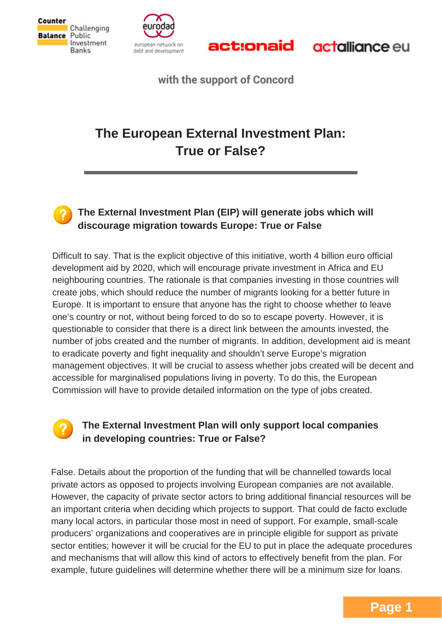





**actalliance** eu

with the support of Concord

# **The European External Investment Plan: True or False?**



#### **The External Investment Plan (EIP) will generate jobs which will discourage migration towards Europe: True or False**

Difficult to say. That is the explicit objective of this initiative, worth 4 billion euro official development aid by 2020, which will encourage private investment in Africa and EU neighbouring countries. The rationale is that companies investing in those countries will create jobs, which should reduce the number of migrants looking for a better future in Europe. It is important to ensure that anyone has the right to choose whether to leave one's country or not, without being forced to do so to escape poverty. However, it is questionable to consider that there is a direct link between the amounts invested, the number of jobs created and the number of migrants. In addition, development aid is meant to eradicate poverty and fight inequality and shouldn't serve Europe's migration management objectives. It will be crucial to assess whether jobs created will be decent and accessible for marginalised populations living in poverty. To do this, the European Commission will have to provide detailed information on the type of jobs created.

# **The External Investment Plan will only support local companies in developing countries: True or False?**

False. Details about the proportion of the funding that will be channelled towards local private actors as opposed to projects involving European companies are not available. However, the capacity of private sector actors to bring additional financial resources will be an important criteria when deciding which projects to support. That could de facto exclude many local actors, in particular those most in need of support. For example, small-scale producers' organizations and cooperatives are in principle eligible for support as private sector entities; however it will be crucial for the EU to put in place the adequate procedures and mechanisms that will allow this kind of actors to effectively benefit from the plan. For example, future guidelines will determine whether there will be a minimum size for loans.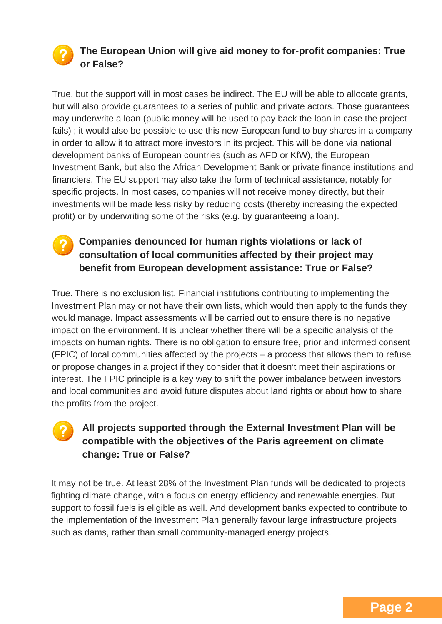# **The European Union will give aid money to for-profit companies: True or False?**

True, but the support will in most cases be indirect. The EU will be able to allocate grants, but will also provide guarantees to a series of public and private actors. Those guarantees may underwrite a loan (public money will be used to pay back the loan in case the project fails) ; it would also be possible to use this new European fund to buy shares in a company in order to allow it to attract more investors in its project. This will be done via national development banks of European countries (such as AFD or KfW), the European Investment Bank, but also the African Development Bank or private finance institutions and financiers. The EU support may also take the form of technical assistance, notably for specific projects. In most cases, companies will not receive money directly, but their investments will be made less risky by reducing costs (thereby increasing the expected profit) or by underwriting some of the risks (e.g. by guaranteeing a loan).

#### **Companies denounced for human rights violations or lack of consultation of local communities affected by their project may benefit from European development assistance: True or False?**

True. There is no exclusion list. Financial institutions contributing to implementing the Investment Plan may or not have their own lists, which would then apply to the funds they would manage. Impact assessments will be carried out to ensure there is no negative impact on the environment. It is unclear whether there will be a specific analysis of the impacts on human rights. There is no obligation to ensure free, prior and informed consent (FPIC) of local communities affected by the projects – a process that allows them to refuse or propose changes in a project if they consider that it doesn't meet their aspirations or interest. The FPIC principle is a key way to shift the power imbalance between investors and local communities and avoid future disputes about land rights or about how to share the profits from the project.

# **All projects supported through the External Investment Plan will be compatible with the objectives of the Paris agreement on climate change: True or False?**

It may not be true. At least 28% of the Investment Plan funds will be dedicated to projects fighting climate change, with a focus on energy efficiency and renewable energies. But support to fossil fuels is eligible as well. And development banks expected to contribute to the implementation of the Investment Plan generally favour large infrastructure projects such as dams, rather than small community-managed energy projects.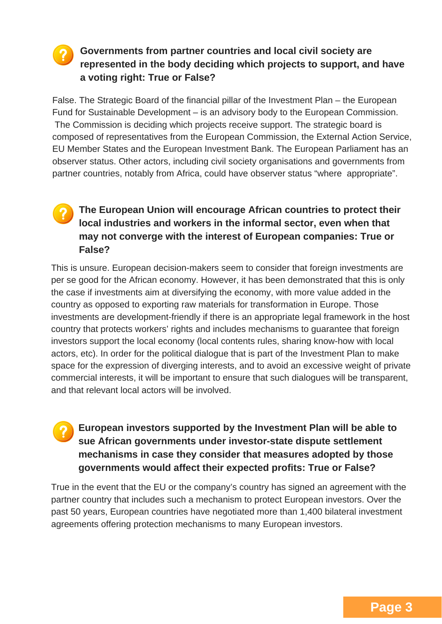### **Governments from partner countries and local civil society are represented in the body deciding which projects to support, and have a voting right: True or False?**

False. The Strategic Board of the financial pillar of the Investment Plan – the European Fund for Sustainable Development – is an advisory body to the European Commission. The Commission is deciding which projects receive support. The strategic board is composed of representatives from the European Commission, the External Action Service, EU Member States and the European Investment Bank. The European Parliament has an observer status. Other actors, including civil society organisations and governments from partner countries, notably from Africa, could have observer status "where appropriate".

# **The European Union will encourage African countries to protect their local industries and workers in the informal sector, even when that may not converge with the interest of European companies: True or False?**

This is unsure. European decision-makers seem to consider that foreign investments are per se good for the African economy. However, it has been demonstrated that this is only the case if investments aim at diversifying the economy, with more value added in the country as opposed to exporting raw materials for transformation in Europe. Those investments are development-friendly if there is an appropriate legal framework in the host country that protects workers' rights and includes mechanisms to guarantee that foreign investors support the local economy (local contents rules, sharing know-how with local actors, etc). In order for the political dialogue that is part of the Investment Plan to make space for the expression of diverging interests, and to avoid an excessive weight of private commercial interests, it will be important to ensure that such dialogues will be transparent, and that relevant local actors will be involved.

### **European investors supported by the Investment Plan will be able to sue African governments under investor-state dispute settlement mechanisms in case they consider that measures adopted by those governments would affect their expected profits: True or False?**

True in the event that the EU or the company's country has signed an agreement with the partner country that includes such a mechanism to protect European investors. Over the past 50 years, European countries have negotiated more than 1,400 bilateral investment agreements offering protection mechanisms to many European investors.